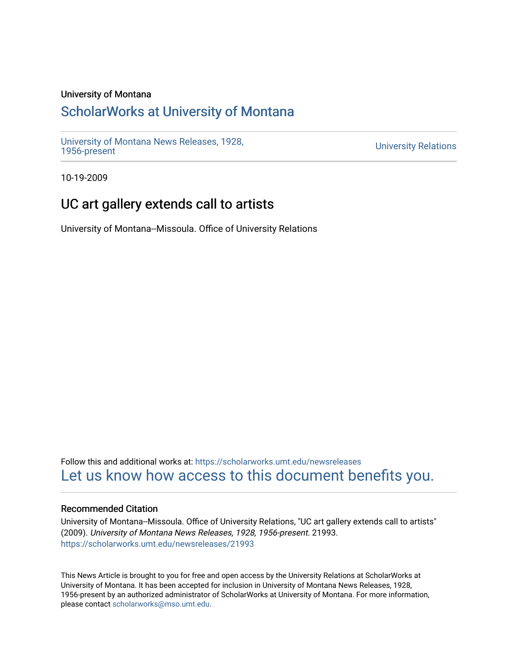### University of Montana

# [ScholarWorks at University of Montana](https://scholarworks.umt.edu/)

[University of Montana News Releases, 1928,](https://scholarworks.umt.edu/newsreleases) 

**University Relations** 

10-19-2009

# UC art gallery extends call to artists

University of Montana--Missoula. Office of University Relations

Follow this and additional works at: [https://scholarworks.umt.edu/newsreleases](https://scholarworks.umt.edu/newsreleases?utm_source=scholarworks.umt.edu%2Fnewsreleases%2F21993&utm_medium=PDF&utm_campaign=PDFCoverPages) [Let us know how access to this document benefits you.](https://goo.gl/forms/s2rGfXOLzz71qgsB2) 

### Recommended Citation

University of Montana--Missoula. Office of University Relations, "UC art gallery extends call to artists" (2009). University of Montana News Releases, 1928, 1956-present. 21993. [https://scholarworks.umt.edu/newsreleases/21993](https://scholarworks.umt.edu/newsreleases/21993?utm_source=scholarworks.umt.edu%2Fnewsreleases%2F21993&utm_medium=PDF&utm_campaign=PDFCoverPages) 

This News Article is brought to you for free and open access by the University Relations at ScholarWorks at University of Montana. It has been accepted for inclusion in University of Montana News Releases, 1928, 1956-present by an authorized administrator of ScholarWorks at University of Montana. For more information, please contact [scholarworks@mso.umt.edu.](mailto:scholarworks@mso.umt.edu)